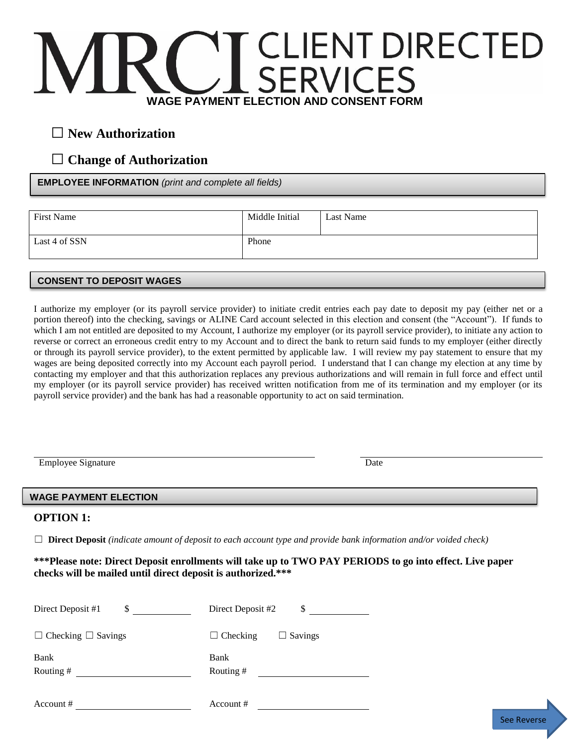# **IENT DIRECTED WAGE PAYMENT ELECTION AND CONSENT FORM**

## □ **New Authorization**

## □ **Change of Authorization**

**EMPLOYEE INFORMATION** *(print and complete all fields)*

| First Name    | Middle Initial | Last Name |
|---------------|----------------|-----------|
| Last 4 of SSN | Phone          |           |
|               |                |           |

### **CONSENT TO DEPOSIT WAGES**

I authorize my employer (or its payroll service provider) to initiate credit entries each pay date to deposit my pay (either net or a portion thereof) into the checking, savings or ALINE Card account selected in this election and consent (the "Account"). If funds to which I am not entitled are deposited to my Account, I authorize my employer (or its payroll service provider), to initiate any action to reverse or correct an erroneous credit entry to my Account and to direct the bank to return said funds to my employer (either directly or through its payroll service provider), to the extent permitted by applicable law. I will review my pay statement to ensure that my wages are being deposited correctly into my Account each payroll period. I understand that I can change my election at any time by contacting my employer and that this authorization replaces any previous authorizations and will remain in full force and effect until my employer (or its payroll service provider) has received written notification from me of its termination and my employer (or its payroll service provider) and the bank has had a reasonable opportunity to act on said termination.

Employee Signature Date

See Reverse

### **WAGE PAYMENT ELECTION**

#### **OPTION 1:**

☐ **Direct Deposit** *(indicate amount of deposit to each account type and provide bank information and/or voided check)*

#### **\*\*\*Please note: Direct Deposit enrollments will take up to TWO PAY PERIODS to go into effect. Live paper checks will be mailed until direct deposit is authorized.\*\*\***

| \$                             | Direct Deposit #2                 |
|--------------------------------|-----------------------------------|
| Direct Deposit #1              | \$                                |
| $\Box$ Checking $\Box$ Savings | $\Box$ Checking<br>$\Box$ Savings |
| Bank                           | Bank                              |
| Routing#                       | Routing #                         |
| Account #                      | Account #                         |